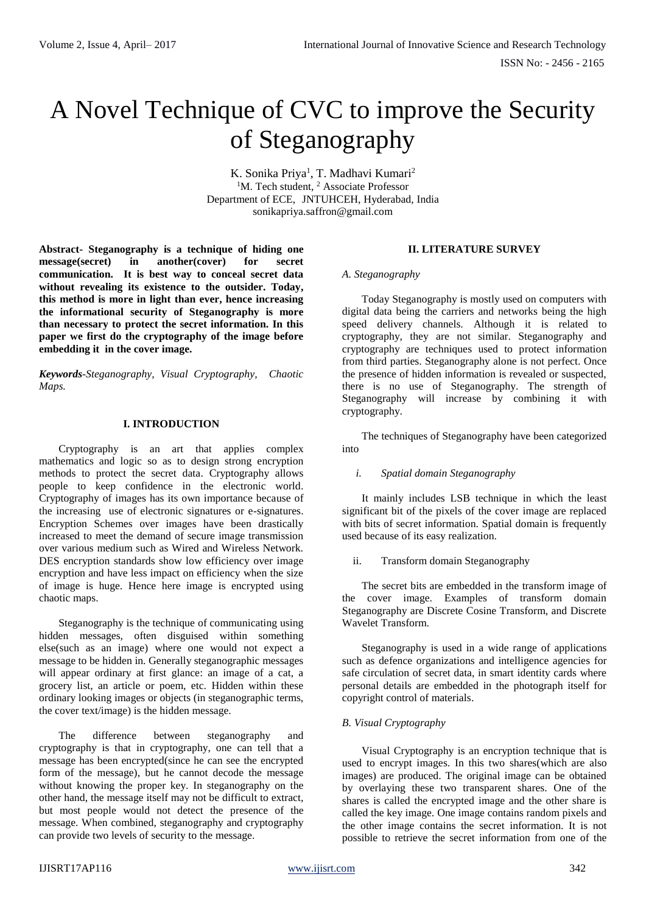# A Novel Technique of CVC to improve the Security of Steganography

K. Sonika Priya<sup>1</sup>, T. Madhavi Kumari<sup>2</sup> <sup>1</sup>M. Tech student, <sup>2</sup> Associate Professor Department of ECE, JNTUHCEH, Hyderabad, India sonikapriya.saffron@gmail.com

**Abstract- Steganography is a technique of hiding one message(secret) in another(cover) for secret communication. It is best way to conceal secret data without revealing its existence to the outsider. Today, this method is more in light than ever, hence increasing the informational security of Steganography is more than necessary to protect the secret information. In this paper we first do the cryptography of the image before embedding it in the cover image.**

*Keywords-Steganography, Visual Cryptography, Chaotic Maps.*

# **I. INTRODUCTION**

Cryptography is an art that applies complex mathematics and logic so as to design strong encryption methods to protect the secret data. Cryptography allows people to keep confidence in the electronic world. Cryptography of images has its own importance because of the increasing use of electronic signatures or e-signatures. Encryption Schemes over images have been drastically increased to meet the demand of secure image transmission over various medium such as Wired and Wireless Network. DES encryption standards show low efficiency over image encryption and have less impact on efficiency when the size of image is huge. Hence here image is encrypted using chaotic maps.

Steganography is the technique of communicating using hidden messages, often disguised within something else(such as an image) where one would not expect a message to be hidden in. Generally steganographic messages will appear ordinary at first glance: an image of a cat, a grocery list, an article or poem, etc. Hidden within these ordinary looking images or objects (in steganographic terms, the cover text/image) is the hidden message.

The difference between steganography and cryptography is that in cryptography, one can tell that a message has been encrypted(since he can see the encrypted form of the message), but he cannot decode the message without knowing the proper key. In steganography on the other hand, the message itself may not be difficult to extract, but most people would not detect the presence of the message. When combined, steganography and cryptography can provide two levels of security to the message.

# **II. LITERATURE SURVEY**

#### *A. Steganography*

Today Steganography is mostly used on computers with digital data being the carriers and networks being the high speed delivery channels. Although it is related to cryptography, they are not similar. Steganography and cryptography are techniques used to protect information from third parties. Steganography alone is not perfect. Once the presence of hidden information is revealed or suspected, there is no use of Steganography. The strength of Steganography will increase by combining it with cryptography.

The techniques of Steganography have been categorized into

# *i. Spatial domain Steganography*

It mainly includes LSB technique in which the least significant bit of the pixels of the cover image are replaced with bits of secret information. Spatial domain is frequently used because of its easy realization.

# ii. Transform domain Steganography

The secret bits are embedded in the transform image of the cover image. Examples of transform domain Steganography are Discrete Cosine Transform, and Discrete Wavelet Transform.

Steganography is used in a wide range of applications such as defence organizations and intelligence agencies for safe circulation of secret data, in smart identity cards where personal details are embedded in the photograph itself for copyright control of materials.

# *B. Visual Cryptography*

Visual Cryptography is an encryption technique that is used to encrypt images. In this two shares(which are also images) are produced. The original image can be obtained by overlaying these two transparent shares. One of the shares is called the encrypted image and the other share is called the key image. One image contains random pixels and the other image contains the secret information. It is not possible to retrieve the secret information from one of the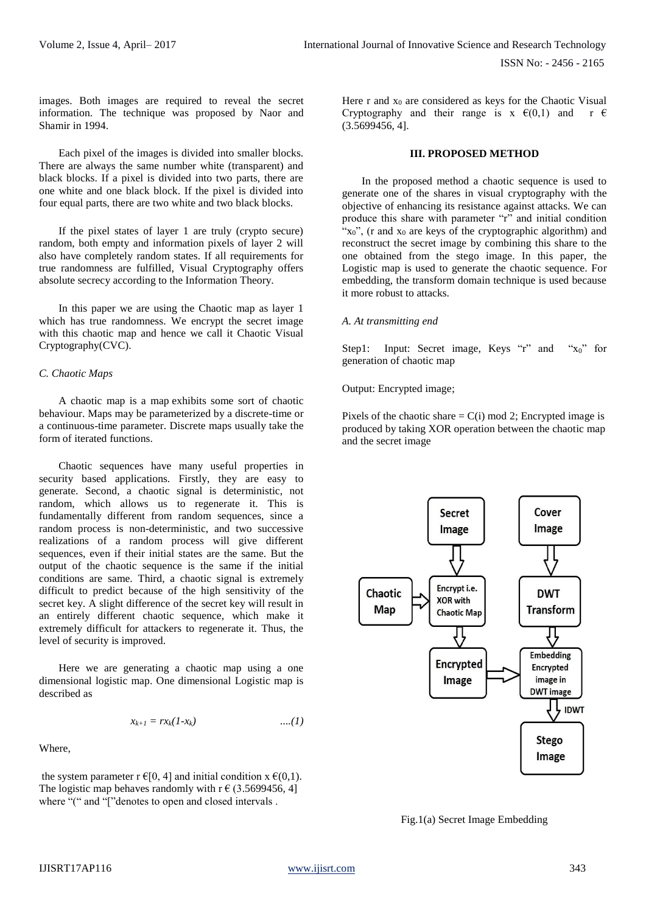images. Both images are required to reveal the secret information. The technique was proposed by Naor and Shamir in 1994.

Each pixel of the images is divided into smaller blocks. There are always the same number white (transparent) and black blocks. If a pixel is divided into two parts, there are one white and one black block. If the pixel is divided into four equal parts, there are two white and two black blocks.

If the pixel states of layer 1 are truly (crypto secure) random, both empty and information pixels of layer 2 will also have completely random states. If all requirements for true randomness are fulfilled, Visual Cryptography offers absolute secrecy according to the Information Theory.

In this paper we are using the Chaotic map as layer 1 which has true randomness. We encrypt the secret image with this chaotic map and hence we call it Chaotic Visual Cryptography(CVC).

# *C. Chaotic Maps*

A chaotic map is a [map](http://self.gutenberg.org/articles/eng/Map_(mathematics)) exhibits some sort of [chaotic](http://self.gutenberg.org/articles/eng/Chaotic_behavior) [behaviour.](http://self.gutenberg.org/articles/eng/Chaotic_behavior) Maps may be parameterized by a discrete-time or a continuous-time parameter. Discrete maps usually take the form of iterated [functions.](http://self.gutenberg.org/articles/eng/Iterated_function) 

Chaotic sequences have many useful properties in security based applications. Firstly, they are easy to generate. Second, a chaotic signal is deterministic, not random, which allows us to regenerate it. This is fundamentally different from random sequences, since a random process is non-deterministic, and two successive realizations of a random process will give different sequences, even if their initial states are the same. But the output of the chaotic sequence is the same if the initial conditions are same. Third, a chaotic signal is extremely difficult to predict because of the high sensitivity of the secret key. A slight difference of the secret key will result in an entirely different chaotic sequence, which make it extremely difficult for attackers to regenerate it. Thus, the level of security is improved.

Here we are generating a chaotic map using a one dimensional logistic map. One dimensional Logistic map is described as

$$
x_{k+1}=rx_k(1-x_k) \qquad \qquad \ldots (1)
$$

Where,

the system parameter r  $\epsilon[0, 4]$  and initial condition  $x \epsilon(0,1)$ . The logistic map behaves randomly with  $r \in (3.5699456, 4]$ where "(" and "["denotes to open and closed intervals.

Here  $r$  and  $x_0$  are considered as keys for the Chaotic Visual Cryptography and their range is  $x \in (0,1)$  and  $r \in$ (3.5699456, 4].

#### **III. PROPOSED METHOD**

In the proposed method a chaotic sequence is used to generate one of the shares in visual cryptography with the objective of enhancing its resistance against attacks. We can produce this share with parameter "r" and initial condition " $x_0$ ", (r and  $x_0$  are keys of the cryptographic algorithm) and reconstruct the secret image by combining this share to the one obtained from the stego image. In this paper, the Logistic map is used to generate the chaotic sequence. For embedding, the transform domain technique is used because it more robust to attacks.

#### *A. At transmitting end*

Step1: Input: Secret image, Keys "r" and " $x_0$ " for generation of chaotic map

Output: Encrypted image;

Pixels of the chaotic share  $= C(i)$  mod 2; Encrypted image is produced by taking XOR operation between the chaotic map and the secret image



Fig.1(a) Secret Image Embedding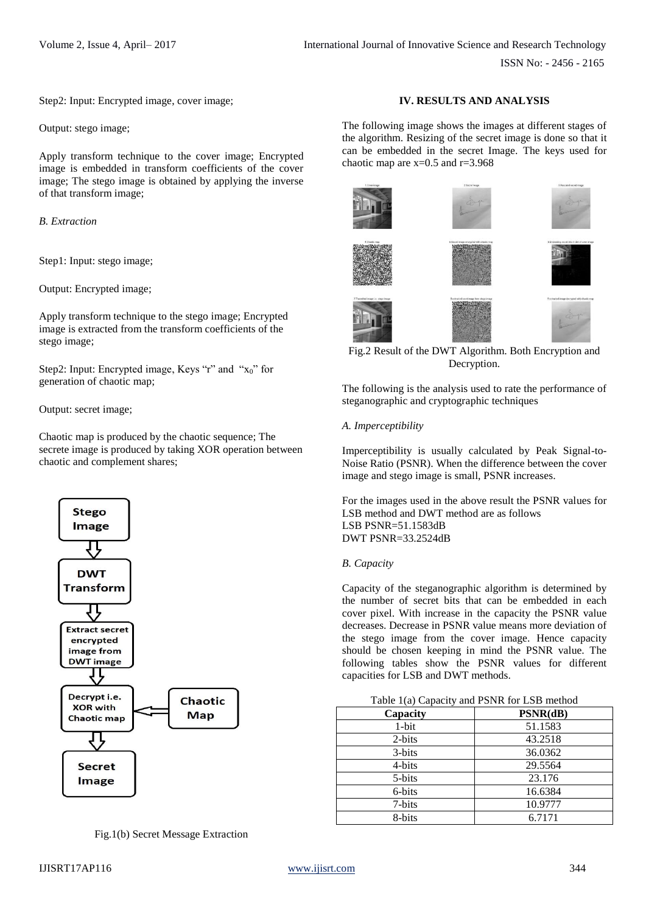Step2: Input: Encrypted image, cover image;

Output: stego image;

Apply transform technique to the cover image; Encrypted image is embedded in transform coefficients of the cover image; The stego image is obtained by applying the inverse of that transform image;

*B. Extraction*

Step1: Input: stego image;

Output: Encrypted image;

Apply transform technique to the stego image; Encrypted image is extracted from the transform coefficients of the stego image;

Step2: Input: Encrypted image, Keys "r" and " $x_0$ " for generation of chaotic map;

Output: secret image;

Chaotic map is produced by the chaotic sequence; The secrete image is produced by taking XOR operation between chaotic and complement shares;



Fig.1(b) Secret Message Extraction

# **IV. RESULTS AND ANALYSIS**

The following image shows the images at different stages of the algorithm. Resizing of the secret image is done so that it can be embedded in the secret Image. The keys used for chaotic map are  $x=0.5$  and  $r=3.968$ 



# Fig.2 Result of the DWT Algorithm. Both Encryption and Decryption.

The following is the analysis used to rate the performance of steganographic and cryptographic techniques

#### *A. Imperceptibility*

Imperceptibility is usually calculated by Peak Signal-to-Noise Ratio (PSNR). When the difference between the cover image and stego image is small, PSNR increases.

For the images used in the above result the PSNR values for LSB method and DWT method are as follows LSB PSNR=51.1583dB DWT PSNR=33.2524dB

#### *B. Capacity*

Capacity of the steganographic algorithm is determined by the number of secret bits that can be embedded in each cover pixel. With increase in the capacity the PSNR value decreases. Decrease in PSNR value means more deviation of the stego image from the cover image. Hence capacity should be chosen keeping in mind the PSNR value. The following tables show the PSNR values for different capacities for LSB and DWT methods.

| Capacity | PSNR(dB) |
|----------|----------|
| $1-bit$  | 51.1583  |
| 2-bits   | 43.2518  |
| 3-bits   | 36.0362  |
| 4-bits   | 29.5564  |
| 5-bits   | 23.176   |
| 6-bits   | 16.6384  |
| 7-bits   | 10.9777  |
| 8-bits   | 6.7171   |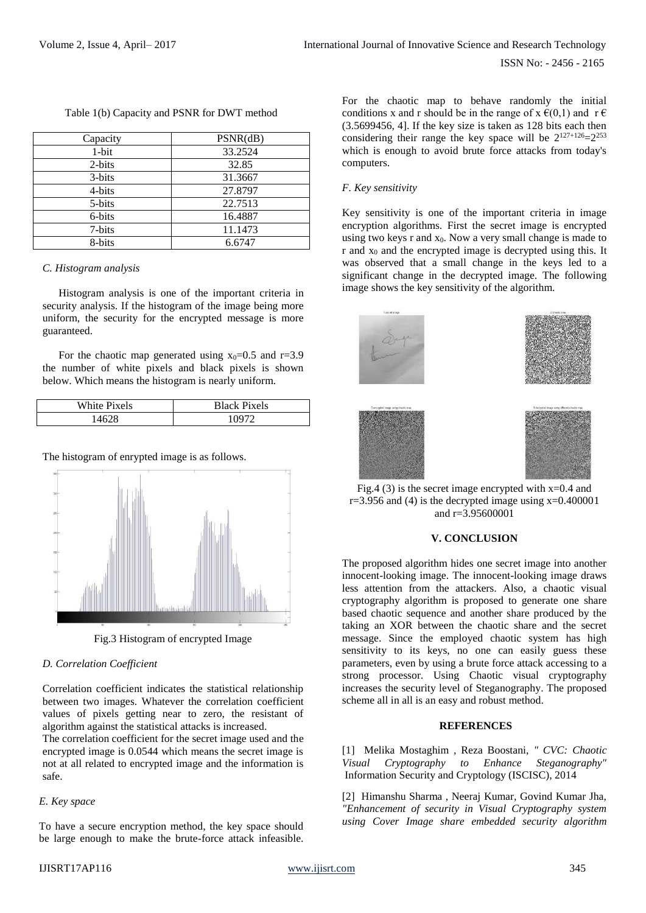| Capacity | PSNR(dB) |
|----------|----------|
| $1-bit$  | 33.2524  |
| 2-bits   | 32.85    |
| 3-bits   | 31.3667  |
| 4-bits   | 27.8797  |
| 5-bits   | 22.7513  |
| 6-bits   | 16.4887  |
| 7-bits   | 11.1473  |
| 8-bits   | 6.6747   |

Table 1(b) Capacity and PSNR for DWT method

#### *C. Histogram analysis*

Histogram analysis is one of the important criteria in security analysis. If the histogram of the image being more uniform, the security for the encrypted message is more guaranteed.

For the chaotic map generated using  $x_0=0.5$  and  $r=3.9$ the number of white pixels and black pixels is shown below. Which means the histogram is nearly uniform.

| White Pixels | <b>Black Pixels</b> |
|--------------|---------------------|
| 1628         | 0.007               |

#### The histogram of enrypted image is as follows.



Fig.3 Histogram of encrypted Image

# *D. Correlation Coefficient*

Correlation coefficient indicates the statistical relationship between two images. Whatever the correlation coefficient values of pixels getting near to zero, the resistant of algorithm against the statistical attacks is increased.

The correlation coefficient for the secret image used and the encrypted image is 0.0544 which means the secret image is not at all related to encrypted image and the information is safe.

# *E. Key space*

To have a secure encryption method, the key space should be large enough to make the brute-force attack infeasible. For the chaotic map to behave randomly the initial conditions x and r should be in the range of  $x \in (0,1)$  and  $r \in$ (3.5699456, 4]. If the key size is taken as 128 bits each then considering their range the key space will be  $2^{127+126}=2^{253}$ which is enough to avoid brute force attacks from today's computers.

#### *F. Key sensitivity*

Key sensitivity is one of the important criteria in image encryption algorithms. First the secret image is encrypted using two keys  $r$  and  $x_0$ . Now a very small change is made to  $r$  and  $x_0$  and the encrypted image is decrypted using this. It was observed that a small change in the keys led to a significant change in the decrypted image. The following image shows the key sensitivity of the algorithm.



Fig.4 (3) is the secret image encrypted with  $x=0.4$  and  $r=3.956$  and (4) is the decrypted image using  $x=0.400001$ and r=3.95600001

#### **V. CONCLUSION**

The proposed algorithm hides one secret image into another innocent-looking image. The innocent-looking image draws less attention from the attackers. Also, a chaotic visual cryptography algorithm is proposed to generate one share based chaotic sequence and another share produced by the taking an XOR between the chaotic share and the secret message. Since the employed chaotic system has high sensitivity to its keys, no one can easily guess these parameters, even by using a brute force attack accessing to a strong processor. Using Chaotic visual cryptography increases the security level of Steganography. The proposed scheme all in all is an easy and robust method.

#### **REFERENCES**

[1] Melika Mostaghim , Reza Boostani, *" CVC: Chaotic Visual Cryptography to Enhance Steganography"*  Information Security and Cryptology (ISCISC), 2014

[2] Himanshu Sharma , Neeraj Kumar, Govind Kumar Jha, *"Enhancement of security in Visual Cryptography system using Cover Image share embedded security algorithm*